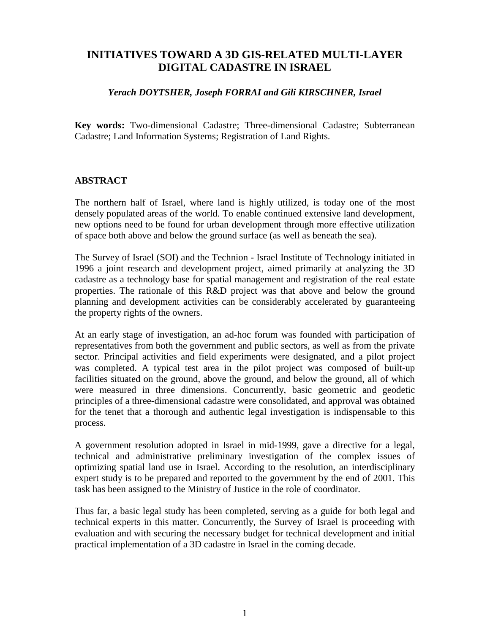# **INITIATIVES TOWARD A 3D GIS-RELATED MULTI-LAYER DIGITAL CADASTRE IN ISRAEL**

#### *Yerach DOYTSHER, Joseph FORRAI and Gili KIRSCHNER, Israel*

**Key words:** Two-dimensional Cadastre; Three-dimensional Cadastre; Subterranean Cadastre; Land Information Systems; Registration of Land Rights.

#### **ABSTRACT**

The northern half of Israel, where land is highly utilized, is today one of the most densely populated areas of the world. To enable continued extensive land development, new options need to be found for urban development through more effective utilization of space both above and below the ground surface (as well as beneath the sea).

The Survey of Israel (SOI) and the Technion - Israel Institute of Technology initiated in 1996 a joint research and development project, aimed primarily at analyzing the 3D cadastre as a technology base for spatial management and registration of the real estate properties. The rationale of this R&D project was that above and below the ground planning and development activities can be considerably accelerated by guaranteeing the property rights of the owners.

At an early stage of investigation, an ad-hoc forum was founded with participation of representatives from both the government and public sectors, as well as from the private sector. Principal activities and field experiments were designated, and a pilot project was completed. A typical test area in the pilot project was composed of built-up facilities situated on the ground, above the ground, and below the ground, all of which were measured in three dimensions. Concurrently, basic geometric and geodetic principles of a three-dimensional cadastre were consolidated, and approval was obtained for the tenet that a thorough and authentic legal investigation is indispensable to this process.

A government resolution adopted in Israel in mid-1999, gave a directive for a legal, technical and administrative preliminary investigation of the complex issues of optimizing spatial land use in Israel. According to the resolution, an interdisciplinary expert study is to be prepared and reported to the government by the end of 2001. This task has been assigned to the Ministry of Justice in the role of coordinator.

Thus far, a basic legal study has been completed, serving as a guide for both legal and technical experts in this matter. Concurrently, the Survey of Israel is proceeding with evaluation and with securing the necessary budget for technical development and initial practical implementation of a 3D cadastre in Israel in the coming decade.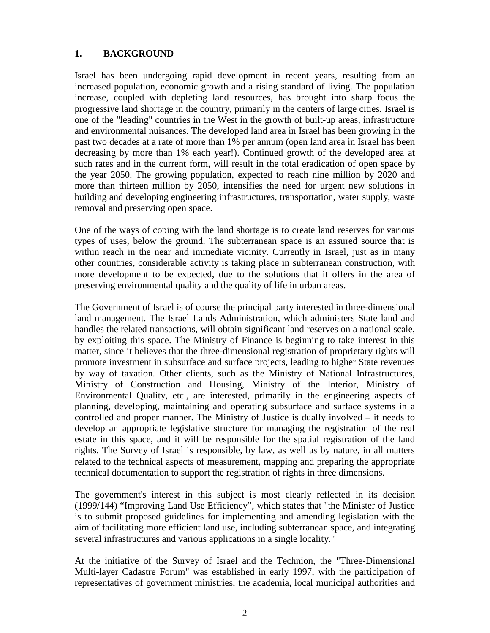### **1. BACKGROUND**

Israel has been undergoing rapid development in recent years, resulting from an increased population, economic growth and a rising standard of living. The population increase, coupled with depleting land resources, has brought into sharp focus the progressive land shortage in the country, primarily in the centers of large cities. Israel is one of the "leading" countries in the West in the growth of built-up areas, infrastructure and environmental nuisances. The developed land area in Israel has been growing in the past two decades at a rate of more than 1% per annum (open land area in Israel has been decreasing by more than 1% each year!). Continued growth of the developed area at such rates and in the current form, will result in the total eradication of open space by the year 2050. The growing population, expected to reach nine million by 2020 and more than thirteen million by 2050, intensifies the need for urgent new solutions in building and developing engineering infrastructures, transportation, water supply, waste removal and preserving open space.

One of the ways of coping with the land shortage is to create land reserves for various types of uses, below the ground. The subterranean space is an assured source that is within reach in the near and immediate vicinity. Currently in Israel, just as in many other countries, considerable activity is taking place in subterranean construction, with more development to be expected, due to the solutions that it offers in the area of preserving environmental quality and the quality of life in urban areas.

The Government of Israel is of course the principal party interested in three-dimensional land management. The Israel Lands Administration, which administers State land and handles the related transactions, will obtain significant land reserves on a national scale, by exploiting this space. The Ministry of Finance is beginning to take interest in this matter, since it believes that the three-dimensional registration of proprietary rights will promote investment in subsurface and surface projects, leading to higher State revenues by way of taxation. Other clients, such as the Ministry of National Infrastructures, Ministry of Construction and Housing, Ministry of the Interior, Ministry of Environmental Quality, etc., are interested, primarily in the engineering aspects of planning, developing, maintaining and operating subsurface and surface systems in a controlled and proper manner. The Ministry of Justice is dually involved – it needs to develop an appropriate legislative structure for managing the registration of the real estate in this space, and it will be responsible for the spatial registration of the land rights. The Survey of Israel is responsible, by law, as well as by nature, in all matters related to the technical aspects of measurement, mapping and preparing the appropriate technical documentation to support the registration of rights in three dimensions.

The government's interest in this subject is most clearly reflected in its decision (1999/144) "Improving Land Use Efficiency", which states that "the Minister of Justice is to submit proposed guidelines for implementing and amending legislation with the aim of facilitating more efficient land use, including subterranean space, and integrating several infrastructures and various applications in a single locality."

At the initiative of the Survey of Israel and the Technion, the "Three-Dimensional Multi-layer Cadastre Forum" was established in early 1997, with the participation of representatives of government ministries, the academia, local municipal authorities and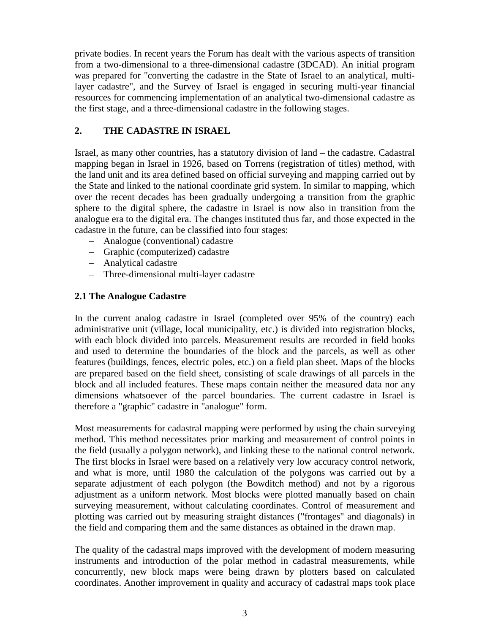private bodies. In recent years the Forum has dealt with the various aspects of transition from a two-dimensional to a three-dimensional cadastre (3DCAD). An initial program was prepared for "converting the cadastre in the State of Israel to an analytical, multilayer cadastre", and the Survey of Israel is engaged in securing multi-year financial resources for commencing implementation of an analytical two-dimensional cadastre as the first stage, and a three-dimensional cadastre in the following stages.

#### **2. THE CADASTRE IN ISRAEL**

Israel, as many other countries, has a statutory division of land – the cadastre. Cadastral mapping began in Israel in 1926, based on Torrens (registration of titles) method, with the land unit and its area defined based on official surveying and mapping carried out by the State and linked to the national coordinate grid system. In similar to mapping, which over the recent decades has been gradually undergoing a transition from the graphic sphere to the digital sphere, the cadastre in Israel is now also in transition from the analogue era to the digital era. The changes instituted thus far, and those expected in the cadastre in the future, can be classified into four stages:

- Analogue (conventional) cadastre
- Graphic (computerized) cadastre
- Analytical cadastre
- Three-dimensional multi-layer cadastre

#### **2.1 The Analogue Cadastre**

In the current analog cadastre in Israel (completed over 95% of the country) each administrative unit (village, local municipality, etc.) is divided into registration blocks, with each block divided into parcels. Measurement results are recorded in field books and used to determine the boundaries of the block and the parcels, as well as other features (buildings, fences, electric poles, etc.) on a field plan sheet. Maps of the blocks are prepared based on the field sheet, consisting of scale drawings of all parcels in the block and all included features. These maps contain neither the measured data nor any dimensions whatsoever of the parcel boundaries. The current cadastre in Israel is therefore a "graphic" cadastre in "analogue" form.

Most measurements for cadastral mapping were performed by using the chain surveying method. This method necessitates prior marking and measurement of control points in the field (usually a polygon network), and linking these to the national control network. The first blocks in Israel were based on a relatively very low accuracy control network, and what is more, until 1980 the calculation of the polygons was carried out by a separate adjustment of each polygon (the Bowditch method) and not by a rigorous adjustment as a uniform network. Most blocks were plotted manually based on chain surveying measurement, without calculating coordinates. Control of measurement and plotting was carried out by measuring straight distances ("frontages" and diagonals) in the field and comparing them and the same distances as obtained in the drawn map.

The quality of the cadastral maps improved with the development of modern measuring instruments and introduction of the polar method in cadastral measurements, while concurrently, new block maps were being drawn by plotters based on calculated coordinates. Another improvement in quality and accuracy of cadastral maps took place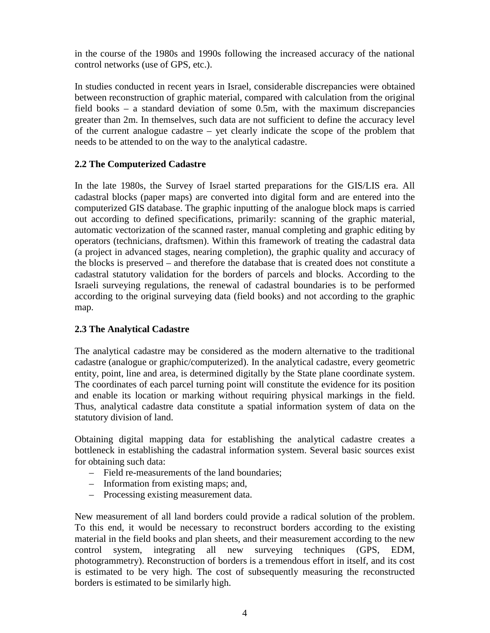in the course of the 1980s and 1990s following the increased accuracy of the national control networks (use of GPS, etc.).

In studies conducted in recent years in Israel, considerable discrepancies were obtained between reconstruction of graphic material, compared with calculation from the original field books – a standard deviation of some 0.5m, with the maximum discrepancies greater than 2m. In themselves, such data are not sufficient to define the accuracy level of the current analogue cadastre – yet clearly indicate the scope of the problem that needs to be attended to on the way to the analytical cadastre.

### **2.2 The Computerized Cadastre**

In the late 1980s, the Survey of Israel started preparations for the GIS/LIS era. All cadastral blocks (paper maps) are converted into digital form and are entered into the computerized GIS database. The graphic inputting of the analogue block maps is carried out according to defined specifications, primarily: scanning of the graphic material, automatic vectorization of the scanned raster, manual completing and graphic editing by operators (technicians, draftsmen). Within this framework of treating the cadastral data (a project in advanced stages, nearing completion), the graphic quality and accuracy of the blocks is preserved – and therefore the database that is created does not constitute a cadastral statutory validation for the borders of parcels and blocks. According to the Israeli surveying regulations, the renewal of cadastral boundaries is to be performed according to the original surveying data (field books) and not according to the graphic map.

### **2.3 The Analytical Cadastre**

The analytical cadastre may be considered as the modern alternative to the traditional cadastre (analogue or graphic/computerized). In the analytical cadastre, every geometric entity, point, line and area, is determined digitally by the State plane coordinate system. The coordinates of each parcel turning point will constitute the evidence for its position and enable its location or marking without requiring physical markings in the field. Thus, analytical cadastre data constitute a spatial information system of data on the statutory division of land.

Obtaining digital mapping data for establishing the analytical cadastre creates a bottleneck in establishing the cadastral information system. Several basic sources exist for obtaining such data:

- Field re-measurements of the land boundaries;
- Information from existing maps; and,
- Processing existing measurement data.

New measurement of all land borders could provide a radical solution of the problem. To this end, it would be necessary to reconstruct borders according to the existing material in the field books and plan sheets, and their measurement according to the new control system, integrating all new surveying techniques (GPS, EDM, photogrammetry). Reconstruction of borders is a tremendous effort in itself, and its cost is estimated to be very high. The cost of subsequently measuring the reconstructed borders is estimated to be similarly high.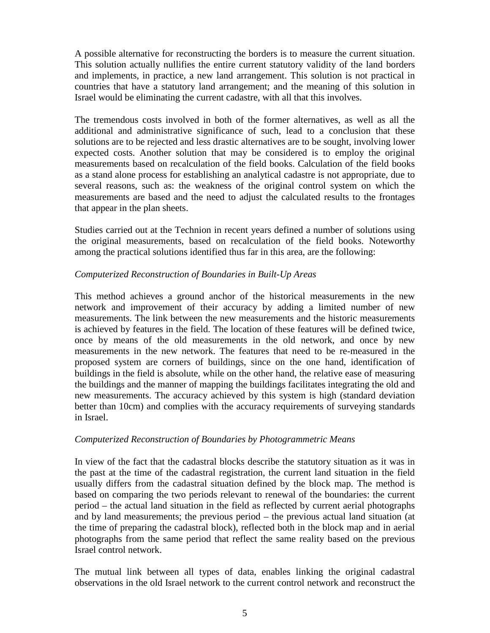A possible alternative for reconstructing the borders is to measure the current situation. This solution actually nullifies the entire current statutory validity of the land borders and implements, in practice, a new land arrangement. This solution is not practical in countries that have a statutory land arrangement; and the meaning of this solution in Israel would be eliminating the current cadastre, with all that this involves.

The tremendous costs involved in both of the former alternatives, as well as all the additional and administrative significance of such, lead to a conclusion that these solutions are to be rejected and less drastic alternatives are to be sought, involving lower expected costs. Another solution that may be considered is to employ the original measurements based on recalculation of the field books. Calculation of the field books as a stand alone process for establishing an analytical cadastre is not appropriate, due to several reasons, such as: the weakness of the original control system on which the measurements are based and the need to adjust the calculated results to the frontages that appear in the plan sheets.

Studies carried out at the Technion in recent years defined a number of solutions using the original measurements, based on recalculation of the field books. Noteworthy among the practical solutions identified thus far in this area, are the following:

#### *Computerized Reconstruction of Boundaries in Built-Up Areas*

This method achieves a ground anchor of the historical measurements in the new network and improvement of their accuracy by adding a limited number of new measurements. The link between the new measurements and the historic measurements is achieved by features in the field. The location of these features will be defined twice, once by means of the old measurements in the old network, and once by new measurements in the new network. The features that need to be re-measured in the proposed system are corners of buildings, since on the one hand, identification of buildings in the field is absolute, while on the other hand, the relative ease of measuring the buildings and the manner of mapping the buildings facilitates integrating the old and new measurements. The accuracy achieved by this system is high (standard deviation better than 10cm) and complies with the accuracy requirements of surveying standards in Israel.

#### *Computerized Reconstruction of Boundaries by Photogrammetric Means*

In view of the fact that the cadastral blocks describe the statutory situation as it was in the past at the time of the cadastral registration, the current land situation in the field usually differs from the cadastral situation defined by the block map. The method is based on comparing the two periods relevant to renewal of the boundaries: the current period – the actual land situation in the field as reflected by current aerial photographs and by land measurements; the previous period – the previous actual land situation (at the time of preparing the cadastral block), reflected both in the block map and in aerial photographs from the same period that reflect the same reality based on the previous Israel control network.

The mutual link between all types of data, enables linking the original cadastral observations in the old Israel network to the current control network and reconstruct the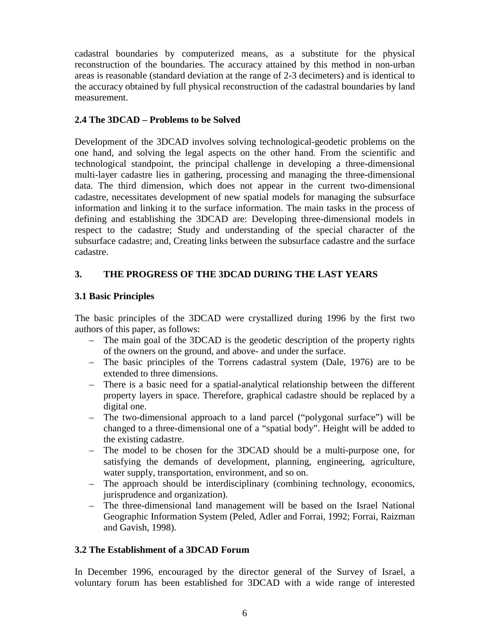cadastral boundaries by computerized means, as a substitute for the physical reconstruction of the boundaries. The accuracy attained by this method in non-urban areas is reasonable (standard deviation at the range of 2-3 decimeters) and is identical to the accuracy obtained by full physical reconstruction of the cadastral boundaries by land measurement.

#### **2.4 The 3DCAD – Problems to be Solved**

Development of the 3DCAD involves solving technological-geodetic problems on the one hand, and solving the legal aspects on the other hand. From the scientific and technological standpoint, the principal challenge in developing a three-dimensional multi-layer cadastre lies in gathering, processing and managing the three-dimensional data. The third dimension, which does not appear in the current two-dimensional cadastre, necessitates development of new spatial models for managing the subsurface information and linking it to the surface information. The main tasks in the process of defining and establishing the 3DCAD are: Developing three-dimensional models in respect to the cadastre; Study and understanding of the special character of the subsurface cadastre; and, Creating links between the subsurface cadastre and the surface cadastre.

### **3. THE PROGRESS OF THE 3DCAD DURING THE LAST YEARS**

### **3.1 Basic Principles**

The basic principles of the 3DCAD were crystallized during 1996 by the first two authors of this paper, as follows:

- The main goal of the 3DCAD is the geodetic description of the property rights of the owners on the ground, and above- and under the surface.
- The basic principles of the Torrens cadastral system (Dale, 1976) are to be extended to three dimensions.
- There is a basic need for a spatial-analytical relationship between the different property layers in space. Therefore, graphical cadastre should be replaced by a digital one.
- The two-dimensional approach to a land parcel ("polygonal surface") will be changed to a three-dimensional one of a "spatial body". Height will be added to the existing cadastre.
- The model to be chosen for the 3DCAD should be a multi-purpose one, for satisfying the demands of development, planning, engineering, agriculture, water supply, transportation, environment, and so on.
- The approach should be interdisciplinary (combining technology, economics, jurisprudence and organization).
- The three-dimensional land management will be based on the Israel National Geographic Information System (Peled, Adler and Forrai, 1992; Forrai, Raizman and Gavish, 1998).

### **3.2 The Establishment of a 3DCAD Forum**

In December 1996, encouraged by the director general of the Survey of Israel, a voluntary forum has been established for 3DCAD with a wide range of interested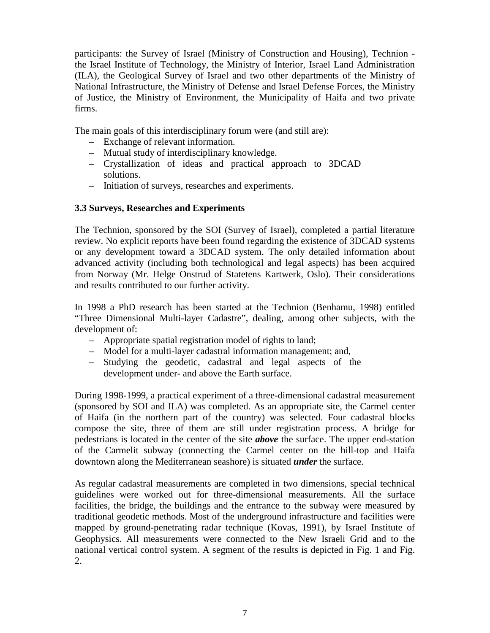participants: the Survey of Israel (Ministry of Construction and Housing), Technion the Israel Institute of Technology, the Ministry of Interior, Israel Land Administration (ILA), the Geological Survey of Israel and two other departments of the Ministry of National Infrastructure, the Ministry of Defense and Israel Defense Forces, the Ministry of Justice, the Ministry of Environment, the Municipality of Haifa and two private firms.

The main goals of this interdisciplinary forum were (and still are):

- Exchange of relevant information.
- Mutual study of interdisciplinary knowledge.
- Crystallization of ideas and practical approach to 3DCAD solutions.
- Initiation of surveys, researches and experiments.

#### **3.3 Surveys, Researches and Experiments**

The Technion, sponsored by the SOI (Survey of Israel), completed a partial literature review. No explicit reports have been found regarding the existence of 3DCAD systems or any development toward a 3DCAD system. The only detailed information about advanced activity (including both technological and legal aspects) has been acquired from Norway (Mr. Helge Onstrud of Statetens Kartwerk, Oslo). Their considerations and results contributed to our further activity.

In 1998 a PhD research has been started at the Technion (Benhamu, 1998) entitled "Three Dimensional Multi-layer Cadastre", dealing, among other subjects, with the development of:

- Appropriate spatial registration model of rights to land;
- Model for a multi-layer cadastral information management; and,
- Studying the geodetic, cadastral and legal aspects of the development under- and above the Earth surface.

During 1998-1999, a practical experiment of a three-dimensional cadastral measurement (sponsored by SOI and ILA) was completed. As an appropriate site, the Carmel center of Haifa (in the northern part of the country) was selected. Four cadastral blocks compose the site, three of them are still under registration process. A bridge for pedestrians is located in the center of the site *above* the surface. The upper end-station of the Carmelit subway (connecting the Carmel center on the hill-top and Haifa downtown along the Mediterranean seashore) is situated *under* the surface.

As regular cadastral measurements are completed in two dimensions, special technical guidelines were worked out for three-dimensional measurements. All the surface facilities, the bridge, the buildings and the entrance to the subway were measured by traditional geodetic methods. Most of the underground infrastructure and facilities were mapped by ground-penetrating radar technique (Kovas, 1991), by Israel Institute of Geophysics. All measurements were connected to the New Israeli Grid and to the national vertical control system. A segment of the results is depicted in Fig. 1 and Fig. 2.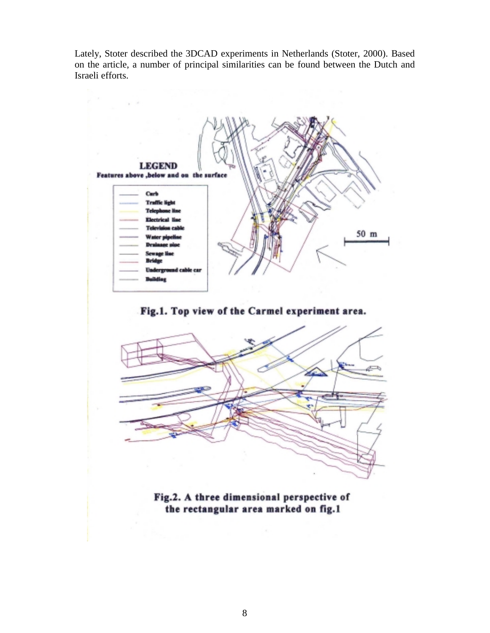Lately, Stoter described the 3DCAD experiments in Netherlands (Stoter, 2000). Based on the article, a number of principal similarities can be found between the Dutch and Israeli efforts.



Fig.1. Top view of the Carmel experiment area.



Fig.2. A three dimensional perspective of the rectangular area marked on fig.1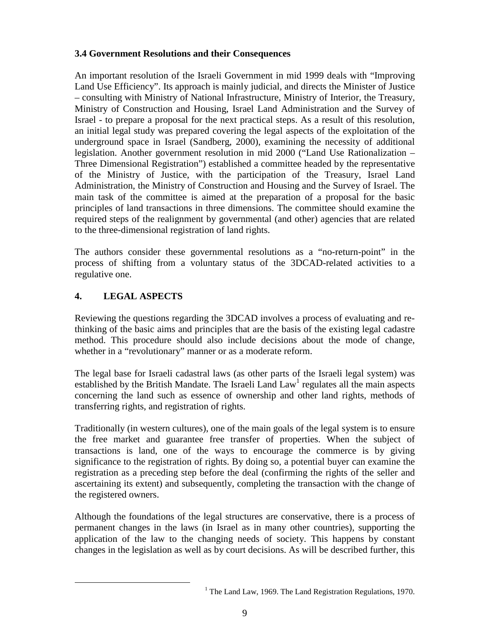#### **3.4 Government Resolutions and their Consequences**

An important resolution of the Israeli Government in mid 1999 deals with "Improving Land Use Efficiency". Its approach is mainly judicial, and directs the Minister of Justice – consulting with Ministry of National Infrastructure, Ministry of Interior, the Treasury, Ministry of Construction and Housing, Israel Land Administration and the Survey of Israel - to prepare a proposal for the next practical steps. As a result of this resolution, an initial legal study was prepared covering the legal aspects of the exploitation of the underground space in Israel (Sandberg, 2000), examining the necessity of additional legislation. Another government resolution in mid 2000 ("Land Use Rationalization – Three Dimensional Registration") established a committee headed by the representative of the Ministry of Justice, with the participation of the Treasury, Israel Land Administration, the Ministry of Construction and Housing and the Survey of Israel. The main task of the committee is aimed at the preparation of a proposal for the basic principles of land transactions in three dimensions. The committee should examine the required steps of the realignment by governmental (and other) agencies that are related to the three-dimensional registration of land rights.

The authors consider these governmental resolutions as a "no-return-point" in the process of shifting from a voluntary status of the 3DCAD-related activities to a regulative one.

### **4. LEGAL ASPECTS**

Reviewing the questions regarding the 3DCAD involves a process of evaluating and rethinking of the basic aims and principles that are the basis of the existing legal cadastre method. This procedure should also include decisions about the mode of change, whether in a "revolutionary" manner or as a moderate reform.

The legal base for Israeli cadastral laws (as other parts of the Israeli legal system) was established by the British Mandate. The Israeli Land  $Law<sup>1</sup>$  regulates all the main aspects concerning the land such as essence of ownership and other land rights, methods of transferring rights, and registration of rights.

Traditionally (in western cultures), one of the main goals of the legal system is to ensure the free market and guarantee free transfer of properties. When the subject of transactions is land, one of the ways to encourage the commerce is by giving significance to the registration of rights. By doing so, a potential buyer can examine the registration as a preceding step before the deal (confirming the rights of the seller and ascertaining its extent) and subsequently, completing the transaction with the change of the registered owners.

Although the foundations of the legal structures are conservative, there is a process of permanent changes in the laws (in Israel as in many other countries), supporting the application of the law to the changing needs of society. This happens by constant changes in the legislation as well as by court decisions. As will be described further, this

 $\overline{\phantom{a}}$ <sup>1</sup> The Land Law, 1969. The Land Registration Regulations, 1970.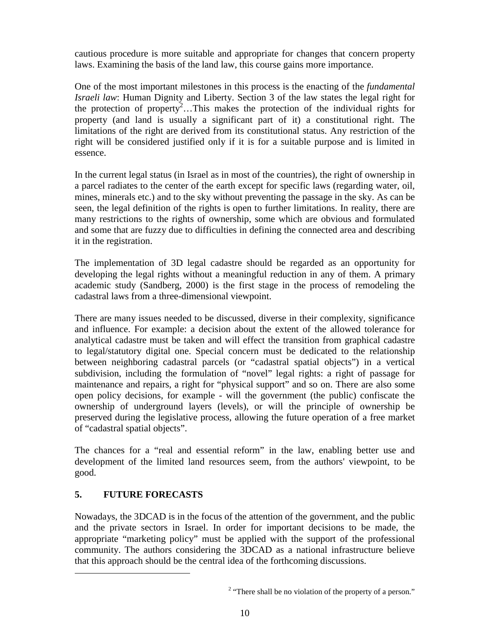cautious procedure is more suitable and appropriate for changes that concern property laws. Examining the basis of the land law, this course gains more importance.

One of the most important milestones in this process is the enacting of the *fundamental Israeli law*: Human Dignity and Liberty. Section 3 of the law states the legal right for the protection of property<sup>2</sup>...This makes the protection of the individual rights for property (and land is usually a significant part of it) a constitutional right. The limitations of the right are derived from its constitutional status. Any restriction of the right will be considered justified only if it is for a suitable purpose and is limited in essence.

In the current legal status (in Israel as in most of the countries), the right of ownership in a parcel radiates to the center of the earth except for specific laws (regarding water, oil, mines, minerals etc.) and to the sky without preventing the passage in the sky. As can be seen, the legal definition of the rights is open to further limitations. In reality, there are many restrictions to the rights of ownership, some which are obvious and formulated and some that are fuzzy due to difficulties in defining the connected area and describing it in the registration.

The implementation of 3D legal cadastre should be regarded as an opportunity for developing the legal rights without a meaningful reduction in any of them. A primary academic study (Sandberg, 2000) is the first stage in the process of remodeling the cadastral laws from a three-dimensional viewpoint.

There are many issues needed to be discussed, diverse in their complexity, significance and influence. For example: a decision about the extent of the allowed tolerance for analytical cadastre must be taken and will effect the transition from graphical cadastre to legal/statutory digital one. Special concern must be dedicated to the relationship between neighboring cadastral parcels (or "cadastral spatial objects") in a vertical subdivision, including the formulation of "novel" legal rights: a right of passage for maintenance and repairs, a right for "physical support" and so on. There are also some open policy decisions, for example - will the government (the public) confiscate the ownership of underground layers (levels), or will the principle of ownership be preserved during the legislative process, allowing the future operation of a free market of "cadastral spatial objects".

The chances for a "real and essential reform" in the law, enabling better use and development of the limited land resources seem, from the authors' viewpoint, to be good.

## **5. FUTURE FORECASTS**

 $\overline{a}$ 

Nowadays, the 3DCAD is in the focus of the attention of the government, and the public and the private sectors in Israel. In order for important decisions to be made, the appropriate "marketing policy" must be applied with the support of the professional community. The authors considering the 3DCAD as a national infrastructure believe that this approach should be the central idea of the forthcoming discussions.

 $2$  "There shall be no violation of the property of a person."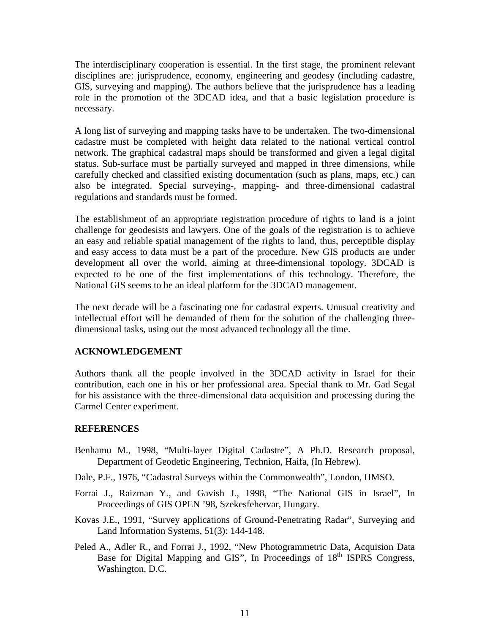The interdisciplinary cooperation is essential. In the first stage, the prominent relevant disciplines are: jurisprudence, economy, engineering and geodesy (including cadastre, GIS, surveying and mapping). The authors believe that the jurisprudence has a leading role in the promotion of the 3DCAD idea, and that a basic legislation procedure is necessary.

A long list of surveying and mapping tasks have to be undertaken. The two-dimensional cadastre must be completed with height data related to the national vertical control network. The graphical cadastral maps should be transformed and given a legal digital status. Sub-surface must be partially surveyed and mapped in three dimensions, while carefully checked and classified existing documentation (such as plans, maps, etc.) can also be integrated. Special surveying-, mapping- and three-dimensional cadastral regulations and standards must be formed.

The establishment of an appropriate registration procedure of rights to land is a joint challenge for geodesists and lawyers. One of the goals of the registration is to achieve an easy and reliable spatial management of the rights to land, thus, perceptible display and easy access to data must be a part of the procedure. New GIS products are under development all over the world, aiming at three-dimensional topology. 3DCAD is expected to be one of the first implementations of this technology. Therefore, the National GIS seems to be an ideal platform for the 3DCAD management.

The next decade will be a fascinating one for cadastral experts. Unusual creativity and intellectual effort will be demanded of them for the solution of the challenging threedimensional tasks, using out the most advanced technology all the time.

#### **ACKNOWLEDGEMENT**

Authors thank all the people involved in the 3DCAD activity in Israel for their contribution, each one in his or her professional area. Special thank to Mr. Gad Segal for his assistance with the three-dimensional data acquisition and processing during the Carmel Center experiment.

#### **REFERENCES**

- Benhamu M., 1998, "Multi-layer Digital Cadastre", A Ph.D. Research proposal, Department of Geodetic Engineering, Technion, Haifa, (In Hebrew).
- Dale, P.F., 1976, "Cadastral Surveys within the Commonwealth", London, HMSO.
- Forrai J., Raizman Y., and Gavish J., 1998, "The National GIS in Israel", In Proceedings of GIS OPEN '98, Szekesfehervar, Hungary.
- Kovas J.E., 1991, "Survey applications of Ground-Penetrating Radar", Surveying and Land Information Systems, 51(3): 144-148.
- Peled A., Adler R., and Forrai J., 1992, "New Photogrammetric Data, Acquision Data Base for Digital Mapping and GIS", In Proceedings of 18<sup>th</sup> ISPRS Congress, Washington, D.C.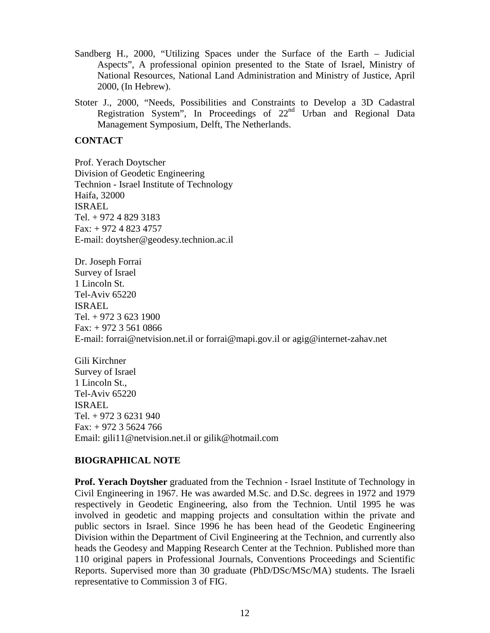- Sandberg H., 2000, "Utilizing Spaces under the Surface of the Earth Judicial Aspects", A professional opinion presented to the State of Israel, Ministry of National Resources, National Land Administration and Ministry of Justice, April 2000, (In Hebrew).
- Stoter J., 2000, "Needs, Possibilities and Constraints to Develop a 3D Cadastral Registration System", In Proceedings of  $22<sup>nd</sup>$  Urban and Regional Data Management Symposium, Delft, The Netherlands.

#### **CONTACT**

Prof. Yerach Doytscher Division of Geodetic Engineering Technion - Israel Institute of Technology Haifa, 32000 ISRAEL Tel. + 972 4 829 3183 Fax: + 972 4 823 4757 E-mail: doytsher@geodesy.technion.ac.il

Dr. Joseph Forrai Survey of Israel 1 Lincoln St. Tel-Aviv 65220 ISRAEL Tel. + 972 3 623 1900 Fax:  $+97235610866$ E-mail: forrai@netvision.net.il or forrai@mapi.gov.il or agig@internet-zahav.net

Gili Kirchner Survey of Israel 1 Lincoln St., Tel-Aviv 65220 ISRAEL Tel. + 972 3 6231 940 Fax: + 972 3 5624 766 Email: gili11@netvision.net.il or gilik@hotmail.com

#### **BIOGRAPHICAL NOTE**

**Prof. Yerach Doytsher** graduated from the Technion - Israel Institute of Technology in Civil Engineering in 1967. He was awarded M.Sc. and D.Sc. degrees in 1972 and 1979 respectively in Geodetic Engineering, also from the Technion. Until 1995 he was involved in geodetic and mapping projects and consultation within the private and public sectors in Israel. Since 1996 he has been head of the Geodetic Engineering Division within the Department of Civil Engineering at the Technion, and currently also heads the Geodesy and Mapping Research Center at the Technion. Published more than 110 original papers in Professional Journals, Conventions Proceedings and Scientific Reports. Supervised more than 30 graduate (PhD/DSc/MSc/MA) students. The Israeli representative to Commission 3 of FIG.